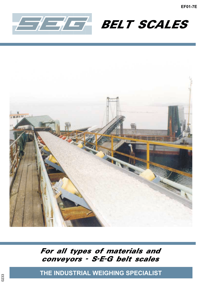





For all types of materials and conveyors - S-E-G belt scales

**THE INDUSTRIAL WEIGHING SPECIALIST**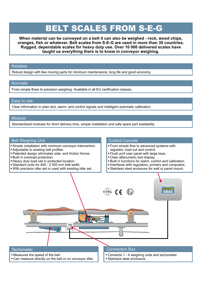## BELT SCALES FROM S-E-G

**When material can be conveyed on a belt it can also be weighed - rock, wood chips, oranges, fish or whatever. Belt scales from S-E-G are used in more than 30 countries. Rugged, dependable scales for heavy duty use. Over 10 000 delivered scales have taught us everything there is to know in conveyor weighing.**

#### Reliable

Robust design with few moving parts for minimum maintenance, long life and good economy.

#### **Accurate**

From simple flows to precision weighing. Available in all EU certification classes.

#### Easy to use

Clear information in plain text, alarm- and control signals and intelligent automatic calibration.

#### **Modular**

Standardized modules for short delivery time, simple installation and safe spare part availability.

#### Belt Weighing Unit

- Simple installation with minimum conveyor intervention.
- Adjustable to existing belt profiles.

Measures the speed of the belt.

Can measure directly on the belt or on conveyor idler.

- Patented design eliminates side- and friction forces.
- Built in overload protection.
- Heavy duty load cell in protected location.
- Standard units for 400 2 500 mm belt width.
- With precision idler set or used with existing idler set.

#### Control Console

 From simple flow to advanced systems with regulator, load out and control.

• Connects 1 - 4 weighing units and tachometer.

Stainless steel enclosure.

- Flush prof user panel with large keys.
- Clear alfanumeric text display.
- Built in functions for alarm, control and calibration.
- Interfaces with regulators, printers and computers.
- Stainless steel enclosure for wall or panel mount.

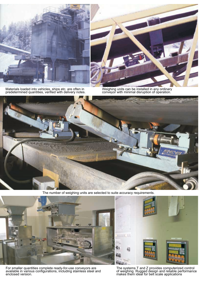

Materials loaded into vehicles, ships etc. are often in predetermined quantities, verified with delivery notes. Weighing units can be installed in any ordinary



Weighing units can be installed in any ordinary<br>conveyor with minimal disruption of operation.



The number of weighing units are selected to suite accuracy requirements.



For smaller quantities complete ready-for-use conveyors are available in various configurations, including stainless steel and enclosed version.



The systems T and Z provides computerized control of weighing. Rugged design and reliable performance makes them ideal for belt scale applications